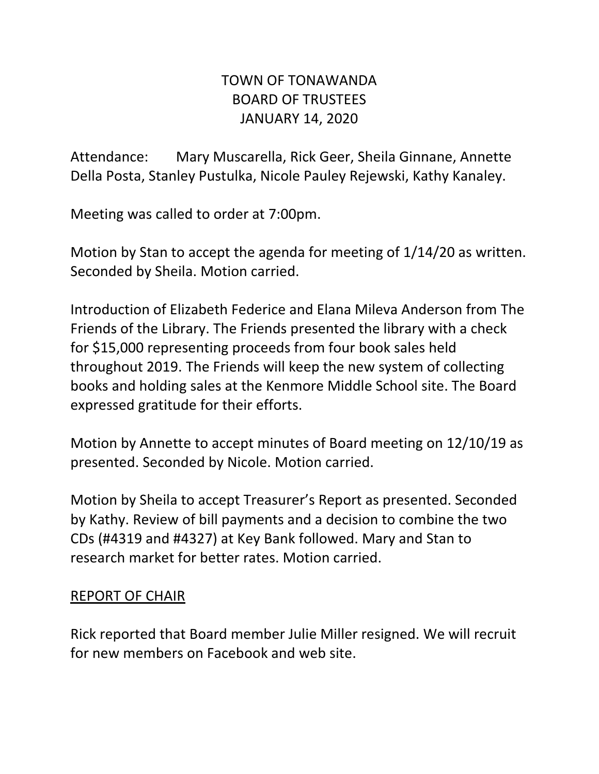# TOWN OF TONAWANDA BOARD OF TRUSTEES JANUARY 14, 2020

Attendance: Mary Muscarella, Rick Geer, Sheila Ginnane, Annette Della Posta, Stanley Pustulka, Nicole Pauley Rejewski, Kathy Kanaley.

Meeting was called to order at 7:00pm.

Motion by Stan to accept the agenda for meeting of 1/14/20 as written. Seconded by Sheila. Motion carried.

Introduction of Elizabeth Federice and Elana Mileva Anderson from The Friends of the Library. The Friends presented the library with a check for \$15,000 representing proceeds from four book sales held throughout 2019. The Friends will keep the new system of collecting books and holding sales at the Kenmore Middle School site. The Board expressed gratitude for their efforts.

Motion by Annette to accept minutes of Board meeting on 12/10/19 as presented. Seconded by Nicole. Motion carried.

Motion by Sheila to accept Treasurer's Report as presented. Seconded by Kathy. Review of bill payments and a decision to combine the two CDs (#4319 and #4327) at Key Bank followed. Mary and Stan to research market for better rates. Motion carried.

## REPORT OF CHAIR

Rick reported that Board member Julie Miller resigned. We will recruit for new members on Facebook and web site.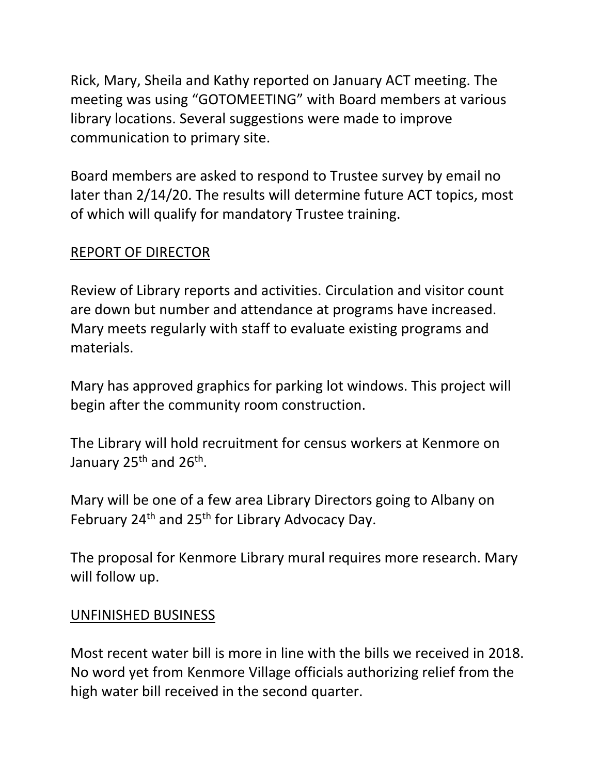Rick, Mary, Sheila and Kathy reported on January ACT meeting. The meeting was using "GOTOMEETING" with Board members at various library locations. Several suggestions were made to improve communication to primary site.

Board members are asked to respond to Trustee survey by email no later than 2/14/20. The results will determine future ACT topics, most of which will qualify for mandatory Trustee training.

## REPORT OF DIRECTOR

Review of Library reports and activities. Circulation and visitor count are down but number and attendance at programs have increased. Mary meets regularly with staff to evaluate existing programs and materials.

Mary has approved graphics for parking lot windows. This project will begin after the community room construction.

The Library will hold recruitment for census workers at Kenmore on January 25<sup>th</sup> and 26<sup>th</sup>.

Mary will be one of a few area Library Directors going to Albany on February 24<sup>th</sup> and 25<sup>th</sup> for Library Advocacy Day.

The proposal for Kenmore Library mural requires more research. Mary will follow up.

#### UNFINISHED BUSINESS

Most recent water bill is more in line with the bills we received in 2018. No word yet from Kenmore Village officials authorizing relief from the high water bill received in the second quarter.